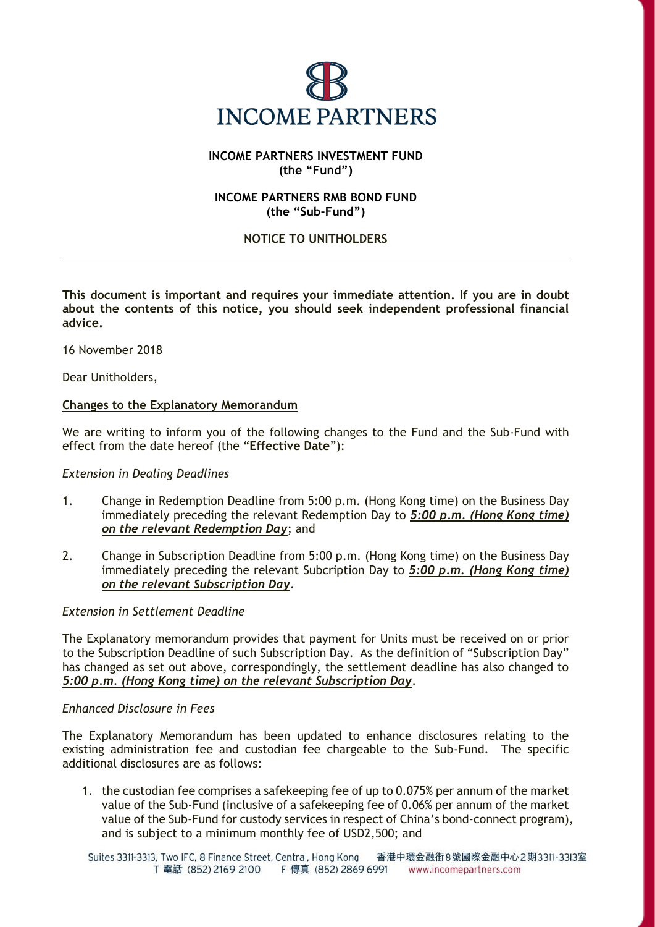

# **INCOME PARTNERS INVESTMENT FUND (the "Fund")**

## **INCOME PARTNERS RMB BOND FUND (the "Sub-Fund")**

## **NOTICE TO UNITHOLDERS**

**This document is important and requires your immediate attention. If you are in doubt about the contents of this notice, you should seek independent professional financial advice.**

16 November 2018

Dear Unitholders,

### **Changes to the Explanatory Memorandum**

We are writing to inform you of the following changes to the Fund and the Sub-Fund with effect from the date hereof (the "**Effective Date**"):

### *Extension in Dealing Deadlines*

- 1. Change in Redemption Deadline from 5:00 p.m. (Hong Kong time) on the Business Day immediately preceding the relevant Redemption Day to *5:00 p.m. (Hong Kong time) on the relevant Redemption Day*; and
- 2. Change in Subscription Deadline from 5:00 p.m. (Hong Kong time) on the Business Day immediately preceding the relevant Subcription Day to *5:00 p.m. (Hong Kong time) on the relevant Subscription Day*.

### *Extension in Settlement Deadline*

The Explanatory memorandum provides that payment for Units must be received on or prior to the Subscription Deadline of such Subscription Day. As the definition of "Subscription Day" has changed as set out above, correspondingly, the settlement deadline has also changed to *5:00 p.m. (Hong Kong time) on the relevant Subscription Day*.

### *Enhanced Disclosure in Fees*

The Explanatory Memorandum has been updated to enhance disclosures relating to the existing administration fee and custodian fee chargeable to the Sub-Fund. The specific additional disclosures are as follows:

1. the custodian fee comprises a safekeeping fee of up to 0.075% per annum of the market value of the Sub-Fund (inclusive of a safekeeping fee of 0.06% per annum of the market value of the Sub-Fund for custody services in respect of China's bond-connect program), and is subject to a minimum monthly fee of USD2,500; and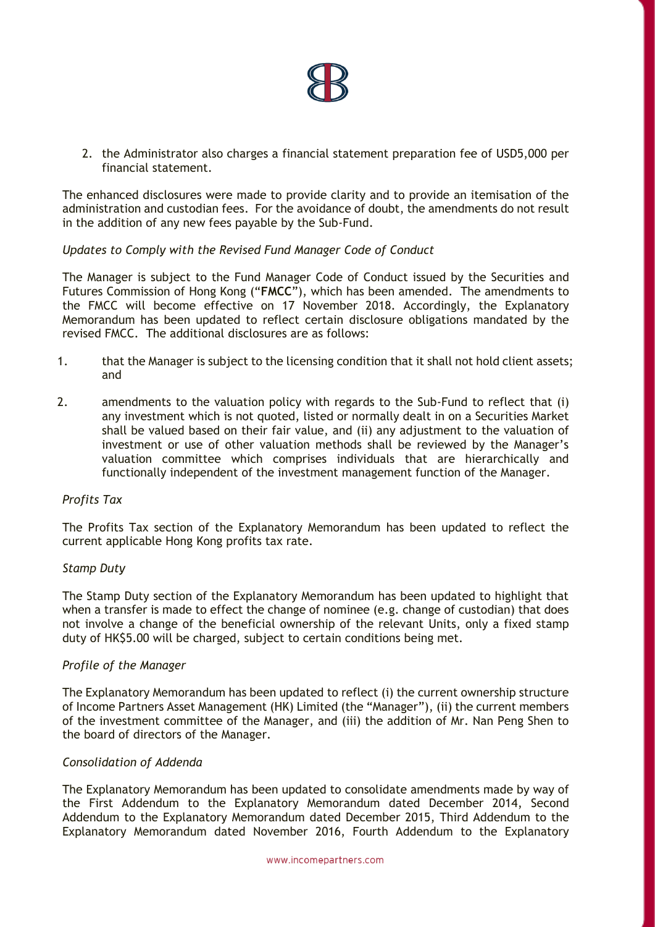

2. the Administrator also charges a financial statement preparation fee of USD5,000 per financial statement.

The enhanced disclosures were made to provide clarity and to provide an itemisation of the administration and custodian fees. For the avoidance of doubt, the amendments do not result in the addition of any new fees payable by the Sub-Fund.

### *Updates to Comply with the Revised Fund Manager Code of Conduct*

The Manager is subject to the Fund Manager Code of Conduct issued by the Securities and Futures Commission of Hong Kong ("**FMCC**"), which has been amended. The amendments to the FMCC will become effective on 17 November 2018. Accordingly, the Explanatory Memorandum has been updated to reflect certain disclosure obligations mandated by the revised FMCC. The additional disclosures are as follows:

- 1. that the Manager is subject to the licensing condition that it shall not hold client assets; and
- 2. amendments to the valuation policy with regards to the Sub-Fund to reflect that (i) any investment which is not quoted, listed or normally dealt in on a Securities Market shall be valued based on their fair value, and (ii) any adjustment to the valuation of investment or use of other valuation methods shall be reviewed by the Manager's valuation committee which comprises individuals that are hierarchically and functionally independent of the investment management function of the Manager.

### *Profits Tax*

The Profits Tax section of the Explanatory Memorandum has been updated to reflect the current applicable Hong Kong profits tax rate.

### *Stamp Duty*

The Stamp Duty section of the Explanatory Memorandum has been updated to highlight that when a transfer is made to effect the change of nominee (e.g. change of custodian) that does not involve a change of the beneficial ownership of the relevant Units, only a fixed stamp duty of HK\$5.00 will be charged, subject to certain conditions being met.

### *Profile of the Manager*

The Explanatory Memorandum has been updated to reflect (i) the current ownership structure of Income Partners Asset Management (HK) Limited (the "Manager"), (ii) the current members of the investment committee of the Manager, and (iii) the addition of Mr. Nan Peng Shen to the board of directors of the Manager.

### *Consolidation of Addenda*

The Explanatory Memorandum has been updated to consolidate amendments made by way of the First Addendum to the Explanatory Memorandum dated December 2014, Second Addendum to the Explanatory Memorandum dated December 2015, Third Addendum to the Explanatory Memorandum dated November 2016, Fourth Addendum to the Explanatory